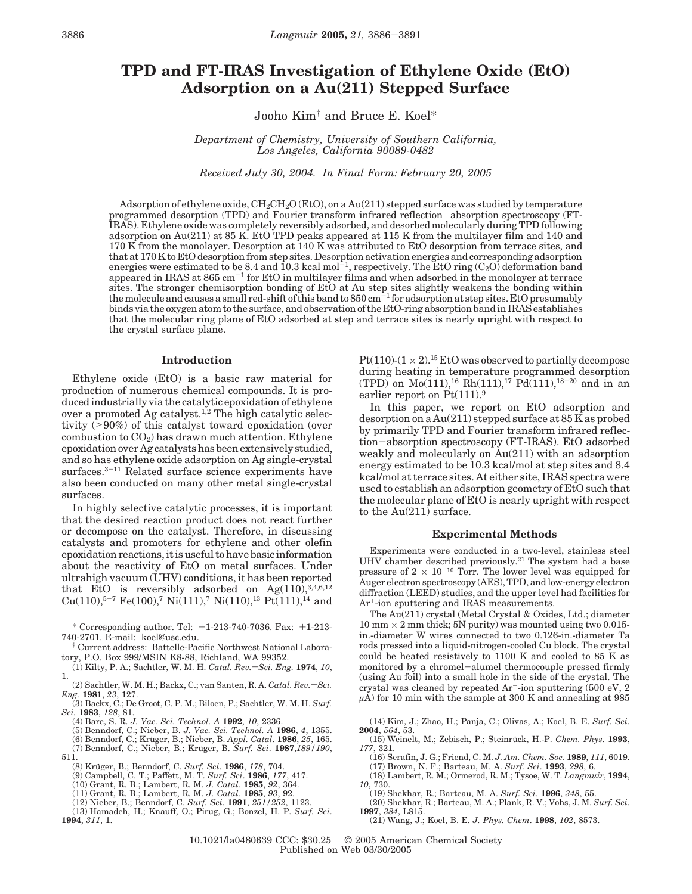# **TPD and FT-IRAS Investigation of Ethylene Oxide (EtO) Adsorption on a Au(211) Stepped Surface**

Jooho Kim† and Bruce E. Koel\*

*Department of Chemistry, University of Southern California, Los Angeles, California 90089-0482*

*Received July 30, 2004. In Final Form: February 20, 2005*

Adsorption of ethylene oxide,  $CH_2CH_2O$  (EtO), on a Au(211) stepped surface was studied by temperature programmed desorption (TPD) and Fourier transform infrared reflection-absorption spectroscopy (FT-IRAS). Ethylene oxide was completely reversibly adsorbed, and desorbed molecularly during TPD following adsorption on Au(211) at 85 K. EtO TPD peaks appeared at 115 K from the multilayer film and 140 and 170 K from the monolayer. Desorption at 140 K was attributed to EtO desorption from terrace sites, and that at 170 K to EtO desorption from step sites. Desorption activation energies and corresponding adsorption energies were estimated to be 8.4 and 10.3 kcal mol<sup>-1</sup>, respectively. The EtO ring (C<sub>2</sub>O) deformation band appeared in IRAS at 865 cm-<sup>1</sup> for EtO in multilayer films and when adsorbed in the monolayer at terrace sites. The stronger chemisorption bonding of EtO at Au step sites slightly weakens the bonding within the molecule and causes a small red-shift of this band to 850 cm<sup>-1</sup> for adsorption at step sites. EtO presumably binds via the oxygen atom to the surface, and observation of the EtO-ring absorption band in IRAS establishes that the molecular ring plane of EtO adsorbed at step and terrace sites is nearly upright with respect to the crystal surface plane.

### **Introduction**

Ethylene oxide (EtO) is a basic raw material for production of numerous chemical compounds. It is produced industrially via the catalytic epoxidation of ethylene over a promoted Ag catalyst.<sup>1,2</sup> The high catalytic selectivity (>90%) of this catalyst toward epoxidation (over combustion to  $CO<sub>2</sub>$ ) has drawn much attention. Ethylene epoxidation over Ag catalysts has been extensively studied, and so has ethylene oxide adsorption on Ag single-crystal surfaces.<sup>3-11</sup> Related surface science experiments have also been conducted on many other metal single-crystal surfaces.

In highly selective catalytic processes, it is important that the desired reaction product does not react further or decompose on the catalyst. Therefore, in discussing catalysts and promoters for ethylene and other olefin epoxidation reactions, it is useful to have basic information about the reactivity of EtO on metal surfaces. Under ultrahigh vacuum (UHV) conditions, it has been reported that EtO is reversibly adsorbed on  $Ag(110), ^{3,4,6,12}$  $Cu(110),^{5-7}$  Fe(100),<sup>7</sup> Ni(111),<sup>7</sup> Ni(110),<sup>13</sup> Pt(111),<sup>14</sup> and

- 
- (4) Bare, S. R. J. Vac. *Sci. Technol. A* **1992**, *10, 2336.*<br>(5) Benndorf, C.; Nieber, B. J. Vac. *Sci. Technol. A* **1986**, 4, 1355.<br>(6) Benndorf, C.; Krüger, B.; Nieber, B. *Appl. Catal.* **1986**, 25, 165.
- 

(8) Kru¨ ger, B.; Benndorf, C. *Surf. Sci*. **1986**, *178*, 704.

- 
- (11) Grant, R. B.; Lambert, R. M. *J. Catal*. **1985**, *93*, 92. (12) Nieber, B.; Benndorf, C. *Surf. Sci*. **1991**, *251/252*, 1123.
- 

(13) Hamadeh, H.; Knauff, O.; Pirug, G.; Bonzel, H. P. *Surf. Sci*. **1994**, *311*, 1.

Pt(110)-( $1 \times 2$ ).<sup>15</sup> EtO was observed to partially decompose during heating in temperature programmed desorption  $(TPD)$  on  $Mo(111),^{16}$   $\overline{Rh}(111),^{17}$   $Pd(111),^{18-20}$  and in an earlier report on Pt(111).<sup>9</sup>

In this paper, we report on EtO adsorption and desorption on a Au(211) stepped surface at 85 K as probed by primarily TPD and Fourier transform infrared reflection-absorption spectroscopy (FT-IRAS). EtO adsorbed weakly and molecularly on Au(211) with an adsorption energy estimated to be 10.3 kcal/mol at step sites and 8.4 kcal/mol at terrace sites. At either site, IRAS spectra were used to establish an adsorption geometry of EtO such that the molecular plane of EtO is nearly upright with respect to the Au(211) surface.

#### **Experimental Methods**

Experiments were conducted in a two-level, stainless steel UHV chamber described previously.<sup>21</sup> The system had a base pressure of  $2 \times 10^{-10}$  Torr. The lower level was equipped for Auger electron spectroscopy (AES), TPD, and low-energy electron diffraction (LEED) studies, and the upper level had facilities for Ar+-ion sputtering and IRAS measurements.

The Au(211) crystal (Metal Crystal & Oxides, Ltd.; diameter  $10$  mm  $\times$  2 mm thick; 5N purity) was mounted using two 0.015in.-diameter W wires connected to two 0.126-in.-diameter Ta rods pressed into a liquid-nitrogen-cooled Cu block. The crystal could be heated resistively to 1100 K and cooled to 85 K as monitored by a chromel-alumel thermocouple pressed firmly (using Au foil) into a small hole in the side of the crystal. The crystal was cleaned by repeated Ar+-ion sputtering (500 eV, 2  $\mu$ A) for 10 min with the sample at 300 K and annealing at 985

- (15) Weinelt, M.; Zebisch, P.; Steinru¨ ck, H.-P. *Chem. Phys*. **1993**, *177*, 321.
- (16) Serafin, J. G.; Friend, C. M. *J. Am. Chem. Soc*. **1989**, *111*, 6019. (17) Brown, N. F.; Barteau, M. A. *Surf. Sci*. **1993**, *298*, 6.
- (18) Lambert, R. M.; Ormerod, R. M.; Tysoe, W. T. *Langmuir*, **1994**, *10*, 730.
	- (19) Shekhar, R.; Barteau, M. A. *Surf. Sci*. **1996**, *348*, 55. (20) Shekhar, R.; Barteau, M. A.; Plank, R. V.; Vohs, J. M. *Surf. Sci*.
- **1997**, *384*, L815.
	- (21) Wang, J.; Koel, B. E. *J. Phys. Chem*. **1998**, *102*, 8573.

<sup>\*</sup> Corresponding author. Tel: +1-213-740-7036. Fax: +1-213- 740-2701. E-mail: koel@usc.edu.

<sup>†</sup> Current address: Battelle-Pacific Northwest National Laboratory, P.O. Box 999/MSIN K8-88, Richland, WA 99352.

<sup>(1)</sup> Kilty, P. A.; Sachtler, W. M. H. *Catal. Rev.* - *Sci. Eng.* **1974**, *10*, 1.

<sup>(2)</sup> Sachtler, W. M. H.; Backx, C.; van Santen, R. A. *Catal. Rev.*-Sci.

*Eng.* **1981**, *23*, 127. (3) Backx, C.; De Groot, C. P. M.; Biloen, P.; Sachtler, W. M. H. *Surf. Sci.* **1983**, *128*, 81.

<sup>(7)</sup> Benndorf, C.; Nieber, B.; Krüger, B. *Surf. Sci.* 1987,189/190, 511.

<sup>(9)</sup> Campbell, C. T.; Paffett, M. T. *Surf. Sci*. **1986**, *177*, 417. (10) Grant, R. B.; Lambert, R. M. *J. Catal*. **1985**, *92*, 364.

<sup>(14)</sup> Kim, J.; Zhao, H.; Panja, C.; Olivas, A.; Koel, B. E. *Surf. Sci*. **2004**, *564*, 53.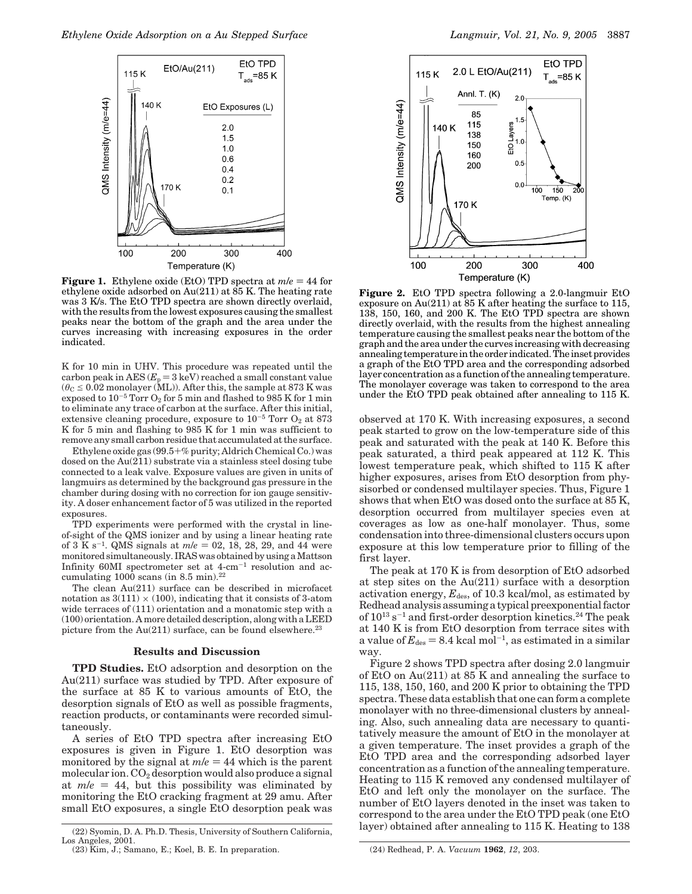

**Figure 1.** Ethylene oxide (EtO) TPD spectra at  $m/e = 44$  for ethylene oxide adsorbed on  $Au(211)$  at  $85$  K. The heating rate was 3 K/s. The EtO TPD spectra are shown directly overlaid, with the results from the lowest exposures causing the smallest peaks near the bottom of the graph and the area under the curves increasing with increasing exposures in the order indicated.

K for 10 min in UHV. This procedure was repeated until the carbon peak in AES  $(E_p = 3 \text{ keV})$  reached a small constant value  $(\theta_C \leq 0.02$  monolayer (ML)). After this, the sample at 873 K was exposed to  $10^{-5}$  Torr  $O_2$  for 5 min and flashed to 985 K for 1 min to eliminate any trace of carbon at the surface. After this initial, extensive cleaning procedure, exposure to  $10^{-5}$  Torr  $O_2$  at 873 K for 5 min and flashing to 985 K for 1 min was sufficient to remove any small carbon residue that accumulated at the surface.

Ethylene oxide gas (99.5+% purity; Aldrich Chemical Co.) was dosed on the Au(211) substrate via a stainless steel dosing tube connected to a leak valve. Exposure values are given in units of langmuirs as determined by the background gas pressure in the chamber during dosing with no correction for ion gauge sensitivity. A doser enhancement factor of 5 was utilized in the reported exposures.

TPD experiments were performed with the crystal in lineof-sight of the QMS ionizer and by using a linear heating rate of 3 K s<sup>-1</sup>. QMS signals at  $m/e = 02, 18, 28, 29,$  and 44 were monitored simultaneously. IRAS was obtained by using a Mattson Infinity  $60M$ I spectrometer set at  $4$ -cm<sup>-1</sup> resolution and accumulating  $1000$  scans (in 8.5 min).<sup>22</sup>

The clean Au(211) surface can be described in microfacet notation as  $3(111) \times (100)$ , indicating that it consists of 3-atom wide terraces of (111) orientation and a monatomic step with a (100) orientation. A more detailed description, along with a LEED picture from the  $Au(211)$  surface, can be found elsewhere.<sup>23</sup>

## **Results and Discussion**

**TPD Studies.** EtO adsorption and desorption on the Au(211) surface was studied by TPD. After exposure of the surface at 85 K to various amounts of EtO, the desorption signals of EtO as well as possible fragments, reaction products, or contaminants were recorded simultaneously.

A series of EtO TPD spectra after increasing EtO exposures is given in Figure 1. EtO desorption was monitored by the signal at  $m/e = 44$  which is the parent molecular ion.  $CO<sub>2</sub>$  desorption would also produce a signal at  $m/e = 44$ , but this possibility was eliminated by monitoring the EtO cracking fragment at 29 amu. After small EtO exposures, a single EtO desorption peak was



**Figure 2.** EtO TPD spectra following a 2.0-langmuir EtO exposure on Au(211) at 85 K after heating the surface to 115, 138, 150, 160, and 200 K. The EtO TPD spectra are shown directly overlaid, with the results from the highest annealing temperature causing the smallest peaks near the bottom of the graph and the area under the curves increasing with decreasing annealing temperature in the order indicated. The inset provides a graph of the EtO TPD area and the corresponding adsorbed layer concentration as a function of the annealing temperature. The monolayer coverage was taken to correspond to the area under the EtO TPD peak obtained after annealing to 115 K.

observed at 170 K. With increasing exposures, a second peak started to grow on the low-temperature side of this peak and saturated with the peak at 140 K. Before this peak saturated, a third peak appeared at 112 K. This lowest temperature peak, which shifted to 115 K after higher exposures, arises from EtO desorption from physisorbed or condensed multilayer species. Thus, Figure 1 shows that when EtO was dosed onto the surface at 85 K, desorption occurred from multilayer species even at coverages as low as one-half monolayer. Thus, some condensation into three-dimensional clusters occurs upon exposure at this low temperature prior to filling of the first layer.

The peak at 170 K is from desorption of EtO adsorbed at step sites on the Au(211) surface with a desorption activation energy,  $E_{des}$ , of 10.3 kcal/mol, as estimated by Redhead analysis assuming a typical preexponential factor of  $10^{13}$  s<sup>-1</sup> and first-order desorption kinetics.<sup>24</sup> The peak at 140 K is from EtO desorption from terrace sites with a value of  $E_{des} = 8.4$  kcal mol<sup>-1</sup>, as estimated in a similar way.

Figure 2 shows TPD spectra after dosing 2.0 langmuir of EtO on Au(211) at 85 K and annealing the surface to 115, 138, 150, 160, and 200 K prior to obtaining the TPD spectra. These data establish that one can form a complete monolayer with no three-dimensional clusters by annealing. Also, such annealing data are necessary to quantitatively measure the amount of EtO in the monolayer at a given temperature. The inset provides a graph of the EtO TPD area and the corresponding adsorbed layer concentration as a function of the annealing temperature. Heating to 115 K removed any condensed multilayer of EtO and left only the monolayer on the surface. The number of EtO layers denoted in the inset was taken to correspond to the area under the EtO TPD peak (one EtO layer) obtained after annealing to 115 K. Heating to 138 (22) Syomin, D. A. Ph.D. Thesis, University of Southern California,

Los Angeles, 2001.

<sup>(23)</sup> Kim, J.; Samano, E.; Koel, B. E. In preparation. (24) Redhead, P. A. *Vacuum* **1962**, *12*, 203.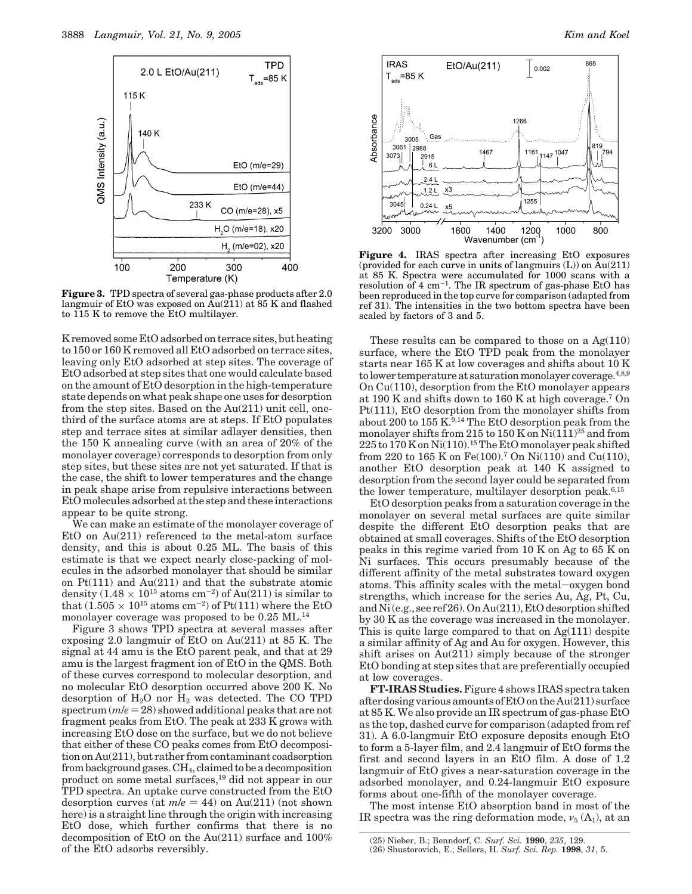

**Figure 3.** TPD spectra of several gas-phase products after 2.0 langmuir of EtO was exposed on  $\text{Au}(211)$  at 85 K and flashed to 115 K to remove the EtO multilayer.

K removed some EtO adsorbed on terrace sites, but heating to 150 or 160 K removed all EtO adsorbed on terrace sites, leaving only EtO adsorbed at step sites. The coverage of EtO adsorbed at step sites that one would calculate based on the amount of EtO desorption in the high-temperature state depends on what peak shape one uses for desorption from the step sites. Based on the Au(211) unit cell, onethird of the surface atoms are at steps. If EtO populates step and terrace sites at similar adlayer densities, then the 150 K annealing curve (with an area of 20% of the monolayer coverage) corresponds to desorption from only step sites, but these sites are not yet saturated. If that is the case, the shift to lower temperatures and the change in peak shape arise from repulsive interactions between EtO molecules adsorbed at the step and these interactions appear to be quite strong.

We can make an estimate of the monolayer coverage of EtO on Au(211) referenced to the metal-atom surface density, and this is about 0.25 ML. The basis of this estimate is that we expect nearly close-packing of molecules in the adsorbed monolayer that should be similar on Pt(111) and Au(211) and that the substrate atomic density  $(1.48 \times 10^{15} \text{ atoms cm}^{-2})$  of Au(211) is similar to that  $(1.505\times 10^{15}~\mathrm{atoms~cm^{-2}})$  of Pt(111) where the EtO monolayer coverage was proposed to be 0.25 ML.<sup>14</sup>

Figure 3 shows TPD spectra at several masses after exposing 2.0 langmuir of EtO on Au(211) at 85 K. The signal at 44 amu is the EtO parent peak, and that at 29 amu is the largest fragment ion of EtO in the QMS. Both of these curves correspond to molecular desorption, and no molecular EtO desorption occurred above 200 K. No desorption of  $H_2O$  nor  $H_2$  was detected. The CO TPD spectrum  $(m/e = 28)$  showed additional peaks that are not fragment peaks from EtO. The peak at 233 K grows with increasing EtO dose on the surface, but we do not believe that either of these CO peaks comes from EtO decomposition on Au(211), but rather from contaminant coadsorption from background gases.  $CH_4$ , claimed to be a decomposition product on some metal surfaces,<sup>19</sup> did not appear in our TPD spectra. An uptake curve constructed from the EtO desorption curves (at  $m/e = 44$ ) on Au(211) (not shown here) is a straight line through the origin with increasing EtO dose, which further confirms that there is no decomposition of EtO on the Au(211) surface and 100% of the EtO adsorbs reversibly.



Figure 4. IRAS spectra after increasing EtO exposures (provided for each curve in units of langmuirs  $(L)$ ) on  $\tilde{A}u(211)$ at 85 K. Spectra were accumulated for 1000 scans with a resolution of  $4 \text{ cm}^{-1}$ . The IR spectrum of gas-phase EtO has been reproduced in the top curve for comparison (adapted from ref 31). The intensities in the two bottom spectra have been scaled by factors of 3 and 5.

These results can be compared to those on a  $Ag(110)$ surface, where the EtO TPD peak from the monolayer starts near 165 K at low coverages and shifts about 10 K to lower temperature at saturation monolayer coverage.4,8,9 On Cu(110), desorption from the EtO monolayer appears at 190 K and shifts down to 160 K at high coverage.7 On Pt(111), EtO desorption from the monolayer shifts from about 200 to 155 K.<sup>9,14</sup> The EtO desorption peak from the monolayer shifts from 215 to 150 K on  $Ni(111)^{25}$  and from 225 to 170 K on Ni(110).15The EtO monolayer peak shifted from 220 to 165 K on Fe(100).7 On Ni(110) and Cu(110), another EtO desorption peak at 140 K assigned to desorption from the second layer could be separated from the lower temperature, multilayer desorption peak. $6,15$ 

EtO desorption peaks from a saturation coverage in the monolayer on several metal surfaces are quite similar despite the different EtO desorption peaks that are obtained at small coverages. Shifts of the EtO desorption peaks in this regime varied from 10 K on Ag to 65 K on Ni surfaces. This occurs presumably because of the different affinity of the metal substrates toward oxygen atoms. This affinity scales with the metal-oxygen bond strengths, which increase for the series Au, Ag, Pt, Cu, and Ni (e.g., see ref 26). On Au(211), EtO desorption shifted by 30 K as the coverage was increased in the monolayer. This is quite large compared to that on  $Ag(111)$  despite a similar affinity of Ag and Au for oxygen. However, this shift arises on Au(211) simply because of the stronger EtO bonding at step sites that are preferentially occupied at low coverages.

**FT-IRAS Studies.** Figure 4 shows IRAS spectra taken after dosing various amounts of EtO on the Au(211) surface at 85 K. We also provide an IR spectrum of gas-phase EtO as the top, dashed curve for comparison (adapted from ref 31). A 6.0-langmuir EtO exposure deposits enough EtO to form a 5-layer film, and 2.4 langmuir of EtO forms the first and second layers in an EtO film. A dose of 1.2 langmuir of EtO gives a near-saturation coverage in the adsorbed monolayer, and 0.24-langmuir EtO exposure forms about one-fifth of the monolayer coverage.

The most intense EtO absorption band in most of the IR spectra was the ring deformation mode,  $v_5(A_1)$ , at an

<sup>(25)</sup> Nieber, B.; Benndorf, C. *Surf. Sci.* **1990**, *235*, 129. (26) Shustorovich, E.; Sellers, H. *Surf. Sci. Rep.* **1998**, *31*, 5.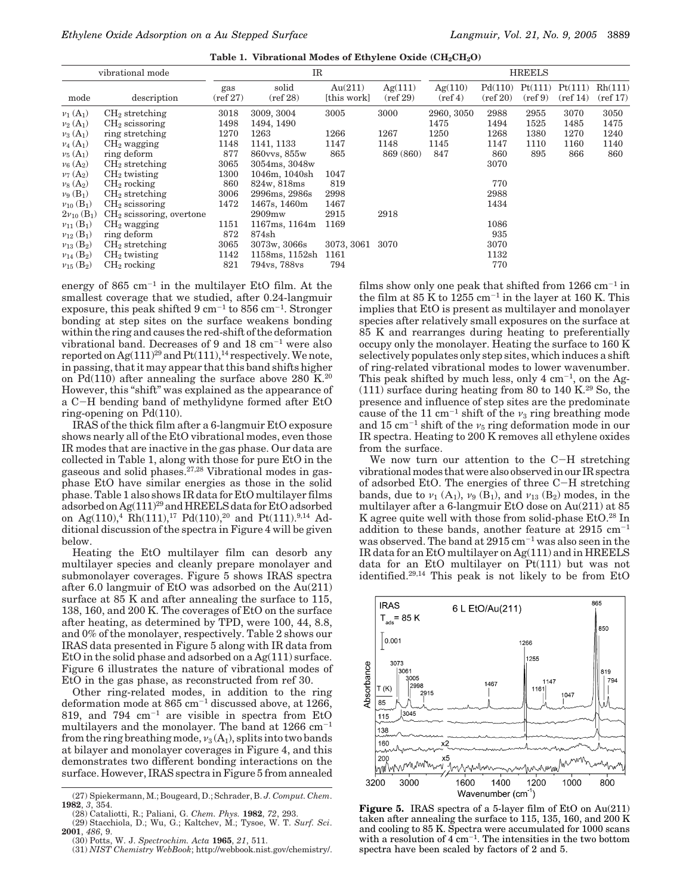|  |  |  |  |  | Table 1. Vibrational Modes of Ethylene Oxide $\rm (CH_2CH_2O)$ |
|--|--|--|--|--|----------------------------------------------------------------|
|--|--|--|--|--|----------------------------------------------------------------|

| vibrational mode              |                            | $_{\rm IR}$               |                             |                        |                     | <b>HREELS</b>                |                     |                              |                               |                    |
|-------------------------------|----------------------------|---------------------------|-----------------------------|------------------------|---------------------|------------------------------|---------------------|------------------------------|-------------------------------|--------------------|
| mode                          | description                | gas<br>$(\text{ref } 27)$ | solid<br>$(\text{ref } 28)$ | Au(211)<br>[this work] | Ag(111)<br>(ref 29) | Ag(110)<br>$(\text{ref } 4)$ | Pd(110)<br>(ref 20) | Pt(111)<br>$(\text{ref } 9)$ | Pt(111)<br>$(\text{ref } 14)$ | Rh(111)<br>(ref17) |
| $\nu_1(A_1)$                  | $CH2$ stretching           | 3018                      | 3009, 3004                  | 3005                   | 3000                | 2960, 3050                   | 2988                | 2955                         | 3070                          | 3050               |
| $v_2(A_1)$                    | $CH2$ scissoring           | 1498                      | 1494, 1490                  |                        |                     | 1475                         | 1494                | 1525                         | 1485                          | 1475               |
| $\nu_3(A_1)$                  | ring stretching            | 1270                      | 1263                        | 1266                   | 1267                | 1250                         | 1268                | 1380                         | 1270                          | 1240               |
| $\nu_4(A_1)$                  | $CH2$ wagging              | 1148                      | 1141, 1133                  | 1147                   | 1148                | 1145                         | 1147                | 1110                         | 1160                          | 1140               |
| $\nu_5(A_1)$                  | ring deform                | 877                       | 860vvs, 855w                | 865                    | 869 (860)           | 847                          | 860                 | 895                          | 866                           | 860                |
| $\nu_6(A_2)$                  | $CH2$ stretching           | 3065                      | 3054ms, 3048w               |                        |                     |                              | 3070                |                              |                               |                    |
| $\nu_7(A_2)$                  | $CH2$ twisting             | 1300                      | 1046m, 1040sh               | 1047                   |                     |                              |                     |                              |                               |                    |
| $\nu_8(A_2)$                  | $CH2$ rocking              | 860                       | 824w, 818ms                 | 819                    |                     |                              | 770                 |                              |                               |                    |
| $\nu_9$ (B <sub>1</sub> )     | $CH2$ stretching           | 3006                      | 2996ms, 2986s               | 2998                   |                     |                              | 2988                |                              |                               |                    |
| $v_{10}$ (B <sub>1</sub> )    | $CH2$ scissoring           | 1472                      | 1467s, 1460m                | 1467                   |                     |                              | 1434                |                              |                               |                    |
| $2\nu_{10}$ (B <sub>1</sub> ) | $CH2$ scissoring, overtone |                           | 2909mw                      | 2915                   | 2918                |                              |                     |                              |                               |                    |
| $v_{11}$ (B <sub>1</sub> )    | $CH2$ wagging              | 1151                      | 1167ms, 1164m               | 1169                   |                     |                              | 1086                |                              |                               |                    |
| $v_{12}$ (B <sub>1</sub> )    | ring deform                | 872                       | 874sh                       |                        |                     |                              | 935                 |                              |                               |                    |
| $v_{13}$ (B <sub>2</sub> )    | $CH2$ stretching           | 3065                      | 3073w, 3066s                | 3073, 3061             | 3070                |                              | 3070                |                              |                               |                    |
| $v_{14}$ (B <sub>2</sub> )    | $CH2$ twisting             | 1142                      | 1158ms, 1152sh              | 1161                   |                     |                              | 1132                |                              |                               |                    |
| $v_{15}$ (B <sub>2</sub> )    | $CH2$ rocking              | 821                       | 794vs, 788vs                | 794                    |                     |                              | 770                 |                              |                               |                    |

energy of 865  $\text{cm}^{-1}$  in the multilayer EtO film. At the smallest coverage that we studied, after 0.24-langmuir exposure, this peak shifted  $9 \text{ cm}^{-1}$  to  $856 \text{ cm}^{-1}$ . Stronger bonding at step sites on the surface weakens bonding within the ring and causes the red-shift of the deformation vibrational band. Decreases of 9 and  $18 \text{ cm}^{-1}$  were also reported on  $Ag(111)^{29}$  and  $Pt(111),^{14}$  respectively. We note, in passing, that it may appear that this band shifts higher on Pd(110) after annealing the surface above 280 K.<sup>20</sup> However, this "shift" was explained as the appearance of a C-H bending band of methylidyne formed after EtO ring-opening on Pd(110).

IRAS of the thick film after a 6-langmuir EtO exposure shows nearly all of the EtO vibrational modes, even those IR modes that are inactive in the gas phase. Our data are collected in Table 1, along with those for pure EtO in the gaseous and solid phases.27,28 Vibrational modes in gasphase EtO have similar energies as those in the solid phase. Table 1 also shows IR data for EtO multilayer films adsorbed on Ag(111)29 and HREELS data for EtO adsorbed on Ag(110),<sup>4</sup> Rh(111),<sup>17</sup> Pd(110),<sup>20</sup> and Pt(111).<sup>9,14</sup> Additional discussion of the spectra in Figure 4 will be given below.

Heating the EtO multilayer film can desorb any multilayer species and cleanly prepare monolayer and submonolayer coverages. Figure 5 shows IRAS spectra after 6.0 langmuir of EtO was adsorbed on the Au(211) surface at 85 K and after annealing the surface to 115, 138, 160, and 200 K. The coverages of EtO on the surface after heating, as determined by TPD, were 100, 44, 8.8, and 0% of the monolayer, respectively. Table 2 shows our IRAS data presented in Figure 5 along with IR data from EtO in the solid phase and adsorbed on a Ag(111) surface. Figure 6 illustrates the nature of vibrational modes of EtO in the gas phase, as reconstructed from ref 30.

Other ring-related modes, in addition to the ring deformation mode at  $865 \text{ cm}^{-1}$  discussed above, at 1266, 819, and  $794 \text{ cm}^{-1}$  are visible in spectra from EtO multilayers and the monolayer. The band at  $1266 \text{ cm}^{-1}$ from the ring breathing mode,  $v_3(A_1)$ , splits into two bands at bilayer and monolayer coverages in Figure 4, and this demonstrates two different bonding interactions on the surface. However, IRAS spectra in Figure 5 from annealed films show only one peak that shifted from  $1266 \text{ cm}^{-1}$  in the film at  $85$  K to  $1255$  cm<sup>-1</sup> in the layer at 160 K. This implies that EtO is present as multilayer and monolayer species after relatively small exposures on the surface at 85 K and rearranges during heating to preferentially occupy only the monolayer. Heating the surface to 160 K selectively populates only step sites, which induces a shift of ring-related vibrational modes to lower wavenumber. This peak shifted by much less, only  $4 \text{ cm}^{-1}$ , on the Ag- $(111)$  surface during heating from 80 to 140 K.<sup>29</sup> So, the presence and influence of step sites are the predominate cause of the 11 cm<sup>-1</sup> shift of the  $\nu_3$  ring breathing mode and 15  $\rm cm^{-1}$  shift of the  $\nu_5$  ring deformation mode in our IR spectra. Heating to 200 K removes all ethylene oxides from the surface.

We now turn our attention to the C-H stretching vibrational modes that were also observed in our IR spectra of adsorbed EtO. The energies of three C-H stretching bands, due to  $\nu_1$  (A<sub>1</sub>),  $\nu_9$  (B<sub>1</sub>), and  $\nu_{13}$  (B<sub>2</sub>) modes, in the multilayer after a 6-langmuir EtO dose on Au(211) at 85 K agree quite well with those from solid-phase EtO.<sup>28</sup> In addition to these bands, another feature at  $2915 \text{ cm}^{-1}$ was observed. The band at  $2915 \text{ cm}^{-1}$  was also seen in the IR data for an EtO multilayer on Ag(111) and in HREELS data for an EtO multilayer on Pt(111) but was not identified.29,14 This peak is not likely to be from EtO



**Figure 5.** IRAS spectra of a 5-layer film of EtO on Au(211) taken after annealing the surface to 115, 135, 160, and 200 K and cooling to 85 K. Spectra were accumulated for 1000 scans with a resolution of  $4 \text{ cm}^{-1}$ . The intensities in the two bottom spectra have been scaled by factors of 2 and 5.

<sup>(27)</sup> Spiekermann, M.; Bougeard, D.; Schrader, B. *J. Comput. Chem*. **1982**, *3*, 354.

<sup>(28)</sup> Cataliotti, R.; Paliani, G. *Chem. Phys.* **1982**, *72*, 293. (29) Stacchiola, D.; Wu, G.; Kaltchev, M.; Tysoe, W. T. *Surf. Sci*. **2001**, *486*, 9.

<sup>(30)</sup> Potts, W. J. *Spectrochim. Acta* **1965**, *21*, 511.

<sup>(31)</sup> *NIST Chemistry WebBook*; http://webbook.nist.gov/chemistry/.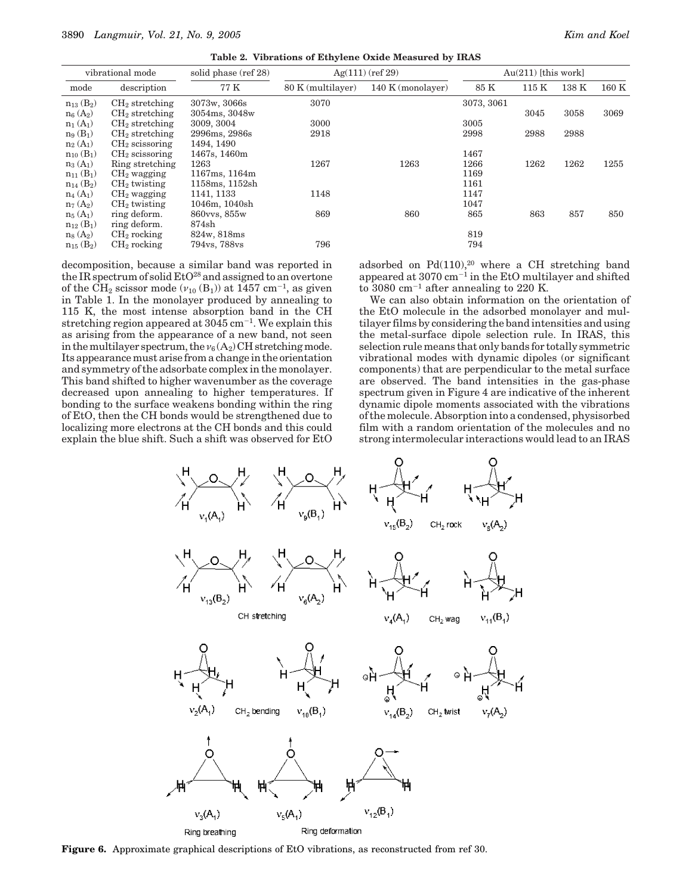**Table 2. Vibrations of Ethylene Oxide Measured by IRAS**

| vibrational mode                         |                                      | solid phase (ref 28)          | $Ag(111)$ (ref 29) | $Au(211)$ [this work] |              |      |       |       |
|------------------------------------------|--------------------------------------|-------------------------------|--------------------|-----------------------|--------------|------|-------|-------|
| mode                                     | description                          | 77 K                          | 80 K (multilayer)  | 140 K (monolayer)     | 85 K         | 115K | 138 K | 160 K |
| $n_{13}$ (B <sub>2</sub> )<br>$n_6(A_2)$ | $CH2$ stretching<br>$CH2$ stretching | 3073w, 3066s<br>3054ms, 3048w | 3070               |                       | 3073, 3061   | 3045 | 3058  | 3069  |
| $n_1(A_1)$<br>$n_9(B_1)$                 | $CH2$ stretching<br>$CH2$ stretching | 3009, 3004<br>2996ms, 2986s   | 3000<br>2918       |                       | 3005<br>2998 | 2988 | 2988  |       |
| $n_2(A_1)$<br>$n_{10}$ (B <sub>1</sub> ) | $CH2$ scissoring<br>$CH2$ scissoring | 1494, 1490<br>1467s, 1460m    |                    |                       | 1467         |      |       |       |
| $n_3(A_1)$<br>$n_{11}$ (B <sub>1</sub> ) | Ring stretching<br>$CH2$ wagging     | 1263<br>1167ms, 1164m         | 1267               | 1263                  | 1266<br>1169 | 1262 | 1262  | 1255  |
| $n_{14}$ (B <sub>2</sub> )               | $CH2$ twisting                       | 1158ms, 1152sh<br>1141, 1133  | 1148               |                       | 1161<br>1147 |      |       |       |
| $n_4(A_1)$<br>$n_7(A_2)$                 | $CH2$ wagging<br>$CH2$ twisting      | 1046m, 1040sh                 |                    |                       | 1047         |      |       |       |
| $n_5(A_1)$<br>$n_{12}$ (B <sub>1</sub> ) | ring deform.<br>ring deform.         | 860vvs, 855w<br>874sh         | 869                | 860                   | 865          | 863  | 857   | 850   |
| $n_8(A_2)$<br>$n_{15}$ (B <sub>2</sub> ) | $CH2$ rocking<br>$CH2$ rocking       | 824w, 818ms<br>794vs, 788vs   | 796                |                       | 819<br>794   |      |       |       |

decomposition, because a similar band was reported in the IR spectrum of solid  $E<sup>28</sup>$  and assigned to an overtone of the CH<sub>2</sub> scissor mode  $(v_{10} (B_1))$  at 1457 cm<sup>-1</sup>, as given in Table 1. In the monolayer produced by annealing to 115 K, the most intense absorption band in the CH stretching region appeared at  $3045 \text{ cm}^{-1}$ . We explain this as arising from the appearance of a new band, not seen in the multilayer spectrum, the  $v_6(A_2)$  CH stretching mode. Its appearance must arise from a change in the orientation and symmetry of the adsorbate complex in the monolayer. This band shifted to higher wavenumber as the coverage decreased upon annealing to higher temperatures. If bonding to the surface weakens bonding within the ring of EtO, then the CH bonds would be strengthened due to localizing more electrons at the CH bonds and this could explain the blue shift. Such a shift was observed for EtO adsorbed on  $Pd(110)<sup>20</sup>$  where a CH stretching band appeared at  $3070 \text{ cm}^{-1}$  in the EtO multilayer and shifted to 3080  $\text{cm}^{-1}$  after annealing to 220 K.

We can also obtain information on the orientation of the EtO molecule in the adsorbed monolayer and multilayer films by considering the band intensities and using the metal-surface dipole selection rule. In IRAS, this selection rule means that only bands for totally symmetric vibrational modes with dynamic dipoles (or significant components) that are perpendicular to the metal surface are observed. The band intensities in the gas-phase spectrum given in Figure 4 are indicative of the inherent dynamic dipole moments associated with the vibrations of the molecule. Absorption into a condensed, physisorbed film with a random orientation of the molecules and no strong intermolecular interactions would lead to an IRAS



**Figure 6.** Approximate graphical descriptions of EtO vibrations, as reconstructed from ref 30.